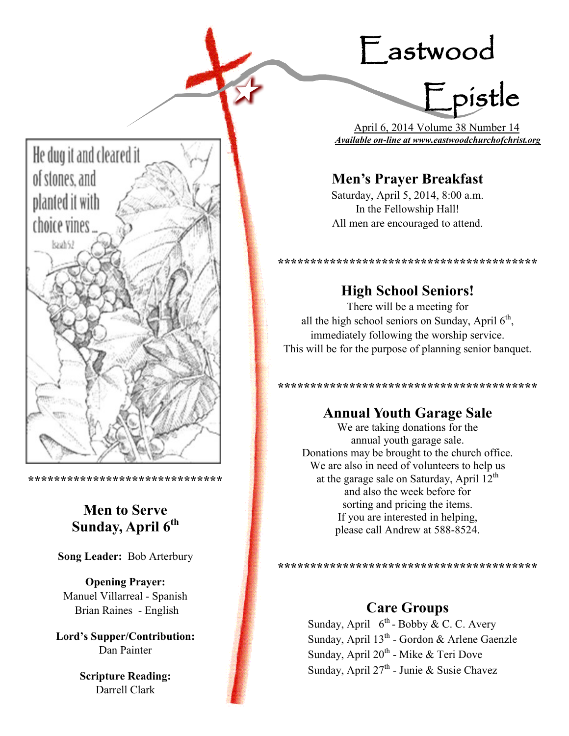# Eastwood



 April 6, 2014 Volume 38 Number 14 *Available on-line at www.eastwoodchurchofchrist.org*

# **Men's Prayer Breakfast**

Saturday, April 5, 2014, 8:00 a.m. In the Fellowship Hall! All men are encouraged to attend.

**High School Seniors!**

**\*\*\*\*\*\*\*\*\*\*\*\*\*\*\*\*\*\*\*\*\*\*\*\*\*\*\*\*\*\*\*\*\*\*\*\*\*\*\*\***

There will be a meeting for all the high school seniors on Sunday, April  $6<sup>th</sup>$ , immediately following the worship service. This will be for the purpose of planning senior banquet.

**\*\*\*\*\*\*\*\*\*\*\*\*\*\*\*\*\*\*\*\*\*\*\*\*\*\*\*\*\*\*\*\*\*\*\*\*\*\*\*\***

# **Annual Youth Garage Sale**

We are taking donations for the annual youth garage sale. Donations may be brought to the church office. We are also in need of volunteers to help us at the garage sale on Saturday, April  $12<sup>th</sup>$ and also the week before for sorting and pricing the items. If you are interested in helping, please call Andrew at 588-8524.

**\*\*\*\*\*\*\*\*\*\*\*\*\*\*\*\*\*\*\*\*\*\*\*\*\*\*\*\*\*\*\*\*\*\*\*\*\*\*\*\***

# **Care Groups**

Sunday, April  $6^{th}$ - Bobby & C. C. Avery Sunday, April 13<sup>th</sup> - Gordon & Arlene Gaenzle Sunday, April 20<sup>th</sup> - Mike & Teri Dove Sunday, April 27<sup>th</sup> - Junie & Susie Chavez



**\*\*\*\*\*\*\*\*\*\*\*\*\*\*\*\*\*\*\*\*\*\*\*\*\*\*\*\*\*\***

# **Men to Serve Sunday, April 6th**

**Song Leader:** Bob Arterbury

**Opening Prayer:** Manuel Villarreal - Spanish Brian Raines - English

**Lord's Supper/Contribution:**  Dan Painter

> **Scripture Reading:**  Darrell Clark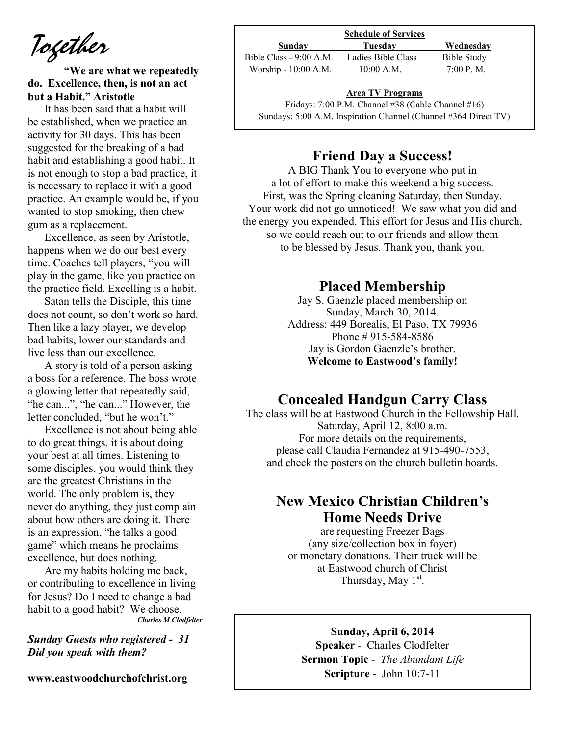*Together*

**"We are what we repeatedly do. Excellence, then, is not an act but a Habit." Aristotle** 

It has been said that a habit will be established, when we practice an activity for 30 days. This has been suggested for the breaking of a bad habit and establishing a good habit. It is not enough to stop a bad practice, it is necessary to replace it with a good practice. An example would be, if you wanted to stop smoking, then chew gum as a replacement.

Excellence, as seen by Aristotle, happens when we do our best every time. Coaches tell players, "you will play in the game, like you practice on the practice field. Excelling is a habit.

Satan tells the Disciple, this time does not count, so don't work so hard. Then like a lazy player, we develop bad habits, lower our standards and live less than our excellence.

A story is told of a person asking a boss for a reference. The boss wrote a glowing letter that repeatedly said, "he can...", "he can..." However, the letter concluded, "but he won't."

Excellence is not about being able to do great things, it is about doing your best at all times. Listening to some disciples, you would think they are the greatest Christians in the world. The only problem is, they never do anything, they just complain about how others are doing it. There is an expression, "he talks a good game" which means he proclaims excellence, but does nothing.

Are my habits holding me back, or contributing to excellence in living for Jesus? Do I need to change a bad habit to a good habit? We choose. *Charles M Clodfelter*

*Sunday Guests who registered - 31 Did you speak with them?*

**www.eastwoodchurchofchrist.org**

| <b>Schedule of Services</b> |             |  |
|-----------------------------|-------------|--|
| Tuesdav                     | Wednesday   |  |
| Ladies Bible Class          | Bible Study |  |
| $10:00$ A.M.                | 7:00 P. M.  |  |
|                             |             |  |

### $\frac{P}{e}$ **Area TV Programs**

Fridays: 7:00 P.M. Channel #38 (Cable Channel #16) Sundays: 5:00 A.M. Inspiration Channel (Channel #364 Direct TV)

### **Friend Day a Success!**

A BIG Thank You to everyone who put in a lot of effort to make this weekend a big success. First, was the Spring cleaning Saturday, then Sunday. Your work did not go unnoticed! We saw what you did and the energy you expended. This effort for Jesus and His church, so we could reach out to our friends and allow them to be blessed by Jesus. Thank you, thank you.

### **Placed Membership**

Jay S. Gaenzle placed membership on Sunday, March 30, 2014. Address: 449 Borealis, El Paso, TX 79936 Phone # 915-584-8586 Jay is Gordon Gaenzle's brother. **Welcome to Eastwood's family!**

### **Concealed Handgun Carry Class**

The class will be at Eastwood Church in the Fellowship Hall. Saturday, April 12, 8:00 a.m. For more details on the requirements, please call Claudia Fernandez at 915-490-7553, and check the posters on the church bulletin boards.

## **New Mexico Christian Children's Home Needs Drive**

are requesting Freezer Bags (any size/collection box in foyer) or monetary donations. Their truck will be at Eastwood church of Christ Thursday, May  $1<sup>st</sup>$ .

#### **Sunday, April 6, 2014**

**Speaker** - Charles Clodfelter **Sermon Topic** - *The Abundant Life*  **Scripture** - John 10:7-11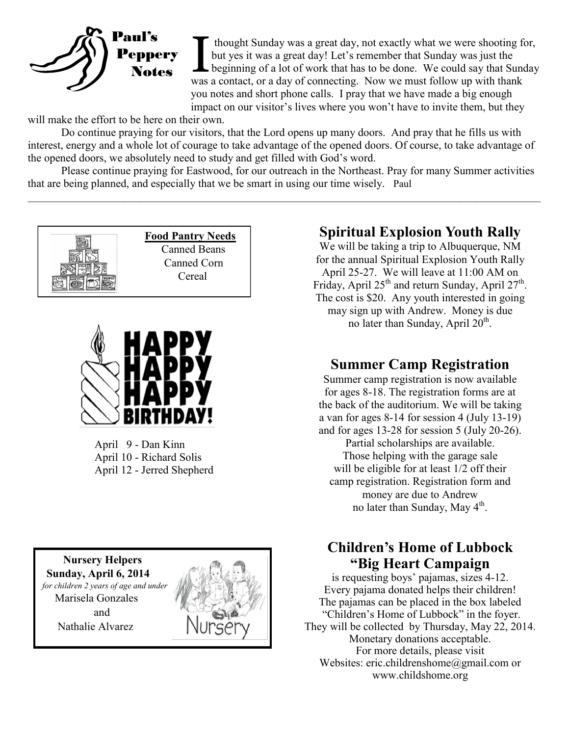

I thought Sunday was a great day, not exactly what we were shooting for but yes it was a great day! Let's remember that Sunday was just the beginning of a lot of work that has to be done. We could say that Sunday as a cont thought Sunday was a great day, not exactly what we were shooting for, but yes it was a great day! Let's remember that Sunday was just the beginning of a lot of work that has to be done. We could say that Sunday you notes and short phone calls. I pray that we have made a big enough impact on our visitor's lives where you won't have to invite them, but they

will make the effort to be here on their own.

Do continue praying for our visitors, that the Lord opens up many doors. And pray that he fills us with interest, energy and a whole lot of courage to take advantage of the opened doors. Of course, to take advantage of the opened doors, we absolutely need to study and get filled with God's word.

Please continue praying for Eastwood, for our outreach in the Northeast. Pray for many Summer activities that are being planned, and especially that we be smart in using our time wisely. Paul

 $\_$ 





April 9 - Dan Kinn April 10 - Richard Solis April 12 - Jerred Shepherd

 **Nursery Helpers Sunday, April 6, 2014**   *for children 2 years of age and under*  Marisela Gonzales and Nathalie Alvarez



# **Spiritual Explosion Youth Rally**

We will be taking a trip to Albuquerque, NM for the annual Spiritual Explosion Youth Rally April 25-27. We will leave at 11:00 AM on Friday, April  $25<sup>th</sup>$  and return Sunday, April  $27<sup>th</sup>$ . The cost is \$20. Any youth interested in going may sign up with Andrew. Money is due no later than Sunday, April  $20<sup>th</sup>$ .

# **Summer Camp Registration**

Summer camp registration is now available for ages 8-18. The registration forms are at the back of the auditorium. We will be taking a van for ages 8-14 for session 4 (July 13-19) and for ages 13-28 for session 5 (July 20-26). Partial scholarships are available. Those helping with the garage sale will be eligible for at least  $1/2$  off their camp registration. Registration form and money are due to Andrew no later than Sunday, May 4<sup>th</sup>.

# **Children's Home of Lubbock "Big Heart Campaign**

is requesting boys' pajamas, sizes 4-12. Every pajama donated helps their children! The pajamas can be placed in the box labeled "Children's Home of Lubbock" in the foyer. They will be collected by Thursday, May 22, 2014. Monetary donations acceptable. For more details, please visit Websites: eric.childrenshome@gmail.com or www.childshome.org